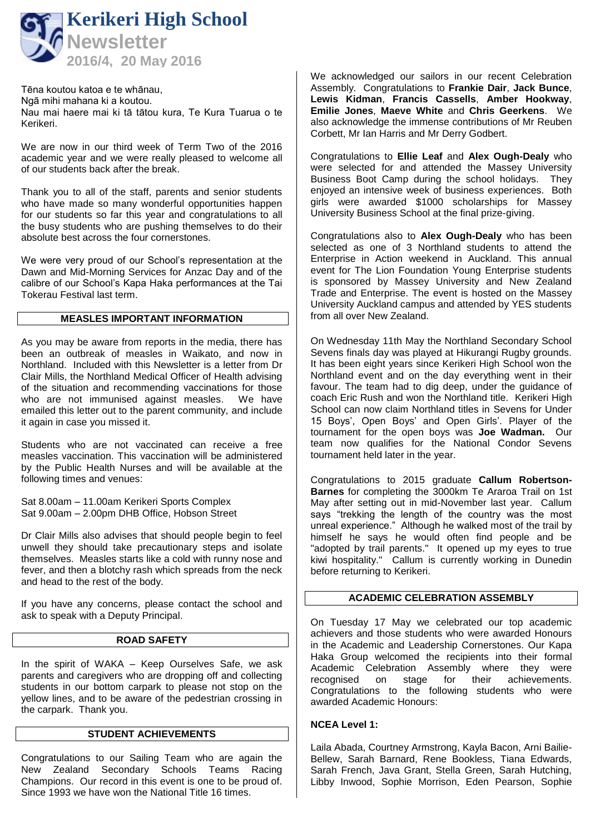

Tēna koutou katoa e te whānau, Ngā mihi mahana ki a koutou. Nau mai haere mai ki tā tātou kura, Te Kura Tuarua o te Kerikeri.

We are now in our third week of Term Two of the 2016 academic year and we were really pleased to welcome all of our students back after the break.

Thank you to all of the staff, parents and senior students who have made so many wonderful opportunities happen for our students so far this year and congratulations to all the busy students who are pushing themselves to do their absolute best across the four cornerstones.

We were very proud of our School's representation at the Dawn and Mid-Morning Services for Anzac Day and of the calibre of our School's Kapa Haka performances at the Tai Tokerau Festival last term.

### **MEASLES IMPORTANT INFORMATION**

As you may be aware from reports in the media, there has been an outbreak of measles in Waikato, and now in Northland. Included with this Newsletter is a letter from Dr Clair Mills, the Northland Medical Officer of Health advising of the situation and recommending vaccinations for those who are not immunised against measles. We have emailed this letter out to the parent community, and include it again in case you missed it.

Students who are not vaccinated can receive a free measles vaccination. This vaccination will be administered by the Public Health Nurses and will be available at the following times and venues:

Sat 8.00am – 11.00am Kerikeri Sports Complex Sat 9.00am – 2.00pm DHB Office, Hobson Street

Dr Clair Mills also advises that should people begin to feel unwell they should take precautionary steps and isolate themselves. Measles starts like a cold with runny nose and fever, and then a blotchy rash which spreads from the neck and head to the rest of the body.

If you have any concerns, please contact the school and ask to speak with a Deputy Principal.

#### **ROAD SAFETY**

In the spirit of WAKA – Keep Ourselves Safe, we ask parents and caregivers who are dropping off and collecting students in our bottom carpark to please not stop on the yellow lines, and to be aware of the pedestrian crossing in the carpark. Thank you.

### **STUDENT ACHIEVEMENTS**

Congratulations to our Sailing Team who are again the New Zealand Secondary Schools Teams Racing Champions. Our record in this event is one to be proud of. Since 1993 we have won the National Title 16 times.

We acknowledged our sailors in our recent Celebration Assembly. Congratulations to **Frankie Dair**, **Jack Bunce**, **Lewis Kidman**, **Francis Cassells**, **Amber Hookway**, **Emilie Jones**, **Maeve White** and **Chris Geerkens**. We also acknowledge the immense contributions of Mr Reuben Corbett, Mr Ian Harris and Mr Derry Godbert.

Congratulations to **Ellie Leaf** and **Alex Ough-Dealy** who were selected for and attended the Massey University Business Boot Camp during the school holidays. They enjoyed an intensive week of business experiences. Both girls were awarded \$1000 scholarships for Massey University Business School at the final prize-giving.

Congratulations also to **Alex Ough-Dealy** who has been selected as one of 3 Northland students to attend the Enterprise in Action weekend in Auckland. This annual event for The Lion Foundation Young Enterprise students is sponsored by Massey University and New Zealand Trade and Enterprise. The event is hosted on the Massey University Auckland campus and attended by YES students from all over New Zealand.

On Wednesday 11th May the Northland Secondary School Sevens finals day was played at Hikurangi Rugby grounds. It has been eight years since Kerikeri High School won the Northland event and on the day everything went in their favour. The team had to dig deep, under the guidance of coach Eric Rush and won the Northland title. Kerikeri High School can now claim Northland titles in Sevens for Under 15 Boys', Open Boys' and Open Girls'. Player of the tournament for the open boys was **Joe Wadman.** Our team now qualifies for the National Condor Sevens tournament held later in the year.

Congratulations to 2015 graduate **Callum Robertson-Barnes** for completing the 3000km Te Araroa Trail on 1st May after setting out in mid-November last year. Callum says "trekking the length of the country was the most unreal experience." Although he walked most of the trail by himself he says he would often find people and be "adopted by trail parents." It opened up my eyes to true kiwi hospitality." Callum is currently working in Dunedin before returning to Kerikeri.

#### **ACADEMIC CELEBRATION ASSEMBLY**

On Tuesday 17 May we celebrated our top academic achievers and those students who were awarded Honours in the Academic and Leadership Cornerstones. Our Kapa Haka Group welcomed the recipients into their formal Academic Celebration Assembly where they were<br>recognised on stage for their achievements. on stage for their achievements. Congratulations to the following students who were awarded Academic Honours:

#### **NCEA Level 1:**

Laila Abada, Courtney Armstrong, Kayla Bacon, Arni Bailie-Bellew, Sarah Barnard, Rene Bookless, Tiana Edwards, Sarah French, Java Grant, Stella Green, Sarah Hutching, Libby Inwood, Sophie Morrison, Eden Pearson, Sophie